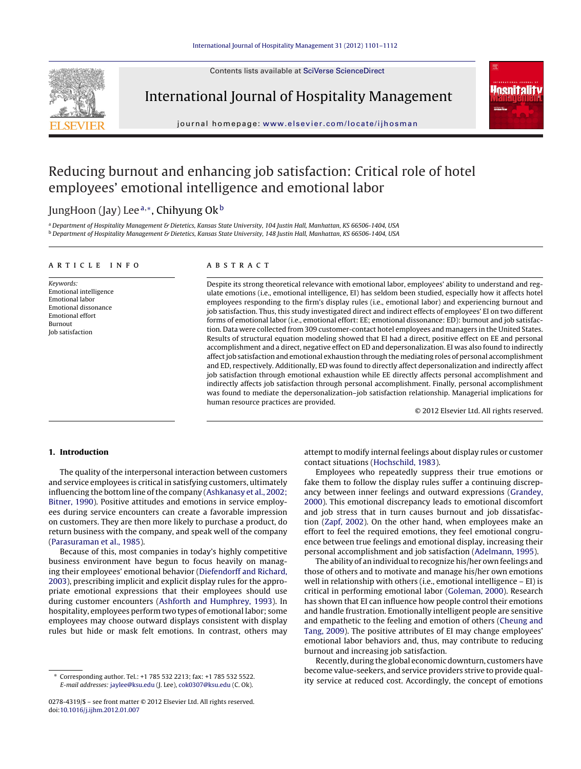Contents lists available at SciVerse [ScienceDirect](http://www.sciencedirect.com/science/journal/02784319)



International Journal of Hospitality Management



journal hom epage: [www.elsevier.com/locate/ijhosman](http://www.elsevier.com/locate/ijhosman)

## Reducing burnout and enhancing job satisfaction: Critical role of hotel employees' emotional intelligence and emotional labor

### JungHoon (Jay) Lee<sup>a,∗</sup>, Chihyung Ok<sup>b</sup>

a Department of Hospitality Management & Dietetics, Kansas State University, 104 Justin Hall, Manhattan, KS 66506-1404, USA <sup>b</sup> Department of Hospitality Management & Dietetics, Kansas State University, 148 Justin Hall, Manhattan, KS 66506-1404, USA

#### a r t i c l e i n f o

Keywords: Emotional intelligence Emotional labor Emotional dissonance Emotional effort Burnout Job satisfaction

#### A B S T R A C T

Despite its strong theoretical relevance with emotional labor, employees' ability to understand and regulate emotions (i.e., emotional intelligence, EI) has seldom been studied, especially how it affects hotel employees responding to the firm's display rules (i.e., emotional labor) and experiencing burnout and job satisfaction. Thus, this study investigated direct and indirect effects of employees' EI on two different forms of emotional labor (i.e., emotional effort: EE; emotional dissonance: ED): burnout and job satisfaction. Data were collected from 309 customer-contact hotel employees and managers in the United States. Results of structural equation modeling showed that EI had a direct, positive effect on EE and personal accomplishment and a direct, negative effect on ED and depersonalization. EI was also found to indirectly affect job satisfaction and emotional exhaustion through the mediating roles of personal accomplishment and ED, respectively. Additionally, ED was found to directly affect depersonalization and indirectly affect job satisfaction through emotional exhaustion while EE directly affects personal accomplishment and indirectly affects job satisfaction through personal accomplishment. Finally, personal accomplishment was found to mediate the depersonalization–job satisfaction relationship. Managerial implications for human resource practices are provided.

© 2012 Elsevier Ltd. All rights reserved.

#### **1. Introduction**

The quality of the interpersonal interaction between customers and service employees is critical in satisfying customers, ultimately influencing the bottom line of the company [\(Ashkanasy](#page--1-0) et [al.,](#page--1-0) [2002;](#page--1-0) [Bitner,](#page--1-0) [1990\).](#page--1-0) Positive attitudes and emotions in service employees during service encounters can create a favorable impression on customers. They are then more likely to purchase a product, do return business with the company, and speak well of the company ([Parasuraman](#page--1-0) et [al.,](#page--1-0) [1985\).](#page--1-0)

Because of this, most companies in today's highly competitive business environment have begun to focus heavily on managing their employees' emotional behavior [\(Diefendorff](#page--1-0) [and](#page--1-0) [Richard,](#page--1-0) [2003\),](#page--1-0) prescribing implicit and explicit display rules for the appropriate emotional expressions that their employees should use during customer encounters [\(Ashforth](#page--1-0) [and](#page--1-0) [Humphrey,](#page--1-0) [1993\).](#page--1-0) In hospitality, employees perform two types of emotional labor; some employees may choose outward displays consistent with display rules but hide or mask felt emotions. In contrast, others may

attempt to modify internal feelings about display rules or customer contact situations [\(Hochschild,](#page--1-0) [1983\).](#page--1-0)

Employees who repeatedly suppress their true emotions or fake them to follow the display rules suffer a continuing discrepancy between inner feelings and outward expressions [\(Grandey,](#page--1-0) [2000\).](#page--1-0) This emotional discrepancy leads to emotional discomfort and job stress that in turn causes burnout and job dissatisfaction ([Zapf,](#page--1-0) [2002\).](#page--1-0) On the other hand, when employees make an effort to feel the required emotions, they feel emotional congruence between true feelings and emotional display, increasing their personal accomplishment and job satisfaction ([Adelmann,](#page--1-0) [1995\).](#page--1-0)

The ability of an individual to recognize his/her own feelings and those of others and to motivate and manage his/her own emotions well in relationship with others (i.e., emotional intelligence – EI) is critical in performing emotional labor ([Goleman,](#page--1-0) [2000\).](#page--1-0) Research has shown that EI can influence how people control their emotions and handle frustration. Emotionally intelligent people are sensitive and empathetic to the feeling and emotion of others [\(Cheung](#page--1-0) [and](#page--1-0) [Tang,](#page--1-0) [2009\).](#page--1-0) The positive attributes of EI may change employees' emotional labor behaviors and, thus, may contribute to reducing burnout and increasing job satisfaction.

Recently, during the global economic downturn, customers have become value-seekers, and service providers strive to provide quality service at reduced cost. Accordingly, the concept of emotions

<sup>∗</sup> Corresponding author. Tel.: +1 785 532 2213; fax: +1 785 532 5522. E-mail addresses: [jaylee@ksu.edu](mailto:jaylee@ksu.edu) (J. Lee), [cok0307@ksu.edu](mailto:cok0307@ksu.edu) (C. Ok).

<sup>0278-4319/\$</sup> – see front matter © 2012 Elsevier Ltd. All rights reserved. doi:[10.1016/j.ijhm.2012.01.007](dx.doi.org/10.1016/j.ijhm.2012.01.007)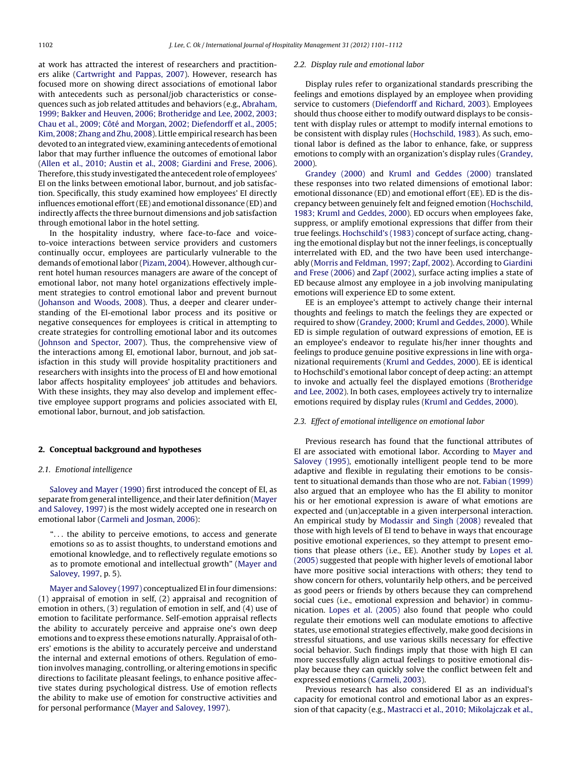at work has attracted the interest of researchers and practitioners alike ([Cartwright](#page--1-0) [and](#page--1-0) [Pappas,](#page--1-0) [2007\).](#page--1-0) However, research has focused more on showing direct associations of emotional labor with antecedents such as personal/job characteristics or consequences such as job related attitudes and behaviors (e.g., [Abraham,](#page--1-0) [1999;](#page--1-0) [Bakker](#page--1-0) [and](#page--1-0) [Heuven,](#page--1-0) [2006;](#page--1-0) [Brotheridge](#page--1-0) [and](#page--1-0) [Lee,](#page--1-0) [2002,](#page--1-0) [2003;](#page--1-0) [Chau](#page--1-0) et [al.,](#page--1-0) [2009;](#page--1-0) [Côté](#page--1-0) [and](#page--1-0) [Morgan,](#page--1-0) [2002;](#page--1-0) [Diefendorff](#page--1-0) et [al.,](#page--1-0) [2005;](#page--1-0) [Kim,](#page--1-0) [2008;](#page--1-0) [Zhang](#page--1-0) [and](#page--1-0) [Zhu,](#page--1-0) [2008\).](#page--1-0) Little empirical research has been devoted to an integrated view, examining antecedents of emotional labor that may further influence the outcomes of emotional labor ([Allen](#page--1-0) et [al.,](#page--1-0) [2010;](#page--1-0) [Austin](#page--1-0) et [al.,](#page--1-0) [2008;](#page--1-0) [Giardini](#page--1-0) [and](#page--1-0) [Frese,](#page--1-0) [2006\).](#page--1-0) Therefore, this study investigated the antecedent role of employees' EI on the links between emotional labor, burnout, and job satisfaction. Specifically, this study examined how employees' EI directly influences emotional effort(EE) and emotional dissonance (ED) and indirectly affects the three burnout dimensions and job satisfaction through emotional labor in the hotel setting.

In the hospitality industry, where face-to-face and voiceto-voice interactions between service providers and customers continually occur, employees are particularly vulnerable to the demands of emotional labor ([Pizam,](#page--1-0) [2004\).](#page--1-0) However, although current hotel human resources managers are aware of the concept of emotional labor, not many hotel organizations effectively implement strategies to control emotional labor and prevent burnout ([Johanson](#page--1-0) [and](#page--1-0) [Woods,](#page--1-0) [2008\).](#page--1-0) Thus, a deeper and clearer understanding of the EI-emotional labor process and its positive or negative consequences for employees is critical in attempting to create strategies for controlling emotional labor and its outcomes ([Johnson](#page--1-0) [and](#page--1-0) [Spector,](#page--1-0) [2007\).](#page--1-0) Thus, the comprehensive view of the interactions among EI, emotional labor, burnout, and job satisfaction in this study will provide hospitality practitioners and researchers with insights into the process of EI and how emotional labor affects hospitality employees' job attitudes and behaviors. With these insights, they may also develop and implement effective employee support programs and policies associated with EI, emotional labor, burnout, and job satisfaction.

#### **2. Conceptual background and hypotheses**

#### 2.1. Emotional intelligence

[Salovey](#page--1-0) [and](#page--1-0) [Mayer](#page--1-0) [\(1990\)](#page--1-0) first introduced the concept of EI, as separate from general intelligence, and their later definition [\(Mayer](#page--1-0) [and](#page--1-0) [Salovey,](#page--1-0) [1997\)](#page--1-0) is the most widely accepted one in research on emotional labor ([Carmeli](#page--1-0) [and](#page--1-0) [Josman,](#page--1-0) [2006\):](#page--1-0)

". . . the ability to perceive emotions, to access and generate emotions so as to assist thoughts, to understand emotions and emotional knowledge, and to reflectively regulate emotions so as to promote emotional and intellectual growth" [\(Mayer](#page--1-0) [and](#page--1-0) [Salovey,](#page--1-0) [1997,](#page--1-0) p. 5).

[Mayer](#page--1-0) [and](#page--1-0) [Salovey](#page--1-0) [\(1997\)](#page--1-0) conceptualized EI in four dimensions: (1) appraisal of emotion in self, (2) appraisal and recognition of emotion in others, (3) regulation of emotion in self, and (4) use of emotion to facilitate performance. Self-emotion appraisal reflects the ability to accurately perceive and appraise one's own deep emotions and to express these emotions naturally.Appraisal of others' emotions is the ability to accurately perceive and understand the internal and external emotions of others. Regulation of emotion involves managing, controlling, or altering emotions in specific directions to facilitate pleasant feelings, to enhance positive affective states during psychological distress. Use of emotion reflects the ability to make use of emotion for constructive activities and for personal performance ([Mayer](#page--1-0) [and](#page--1-0) [Salovey,](#page--1-0) [1997\).](#page--1-0)

#### 2.2. Display rule and emotional labor

Display rules refer to organizational standards prescribing the feelings and emotions displayed by an employee when providing service to customers [\(Diefendorff](#page--1-0) [and](#page--1-0) [Richard,](#page--1-0) [2003\).](#page--1-0) Employees should thus choose either to modify outward displays to be consistent with display rules or attempt to modify internal emotions to be consistent with display rules [\(Hochschild,](#page--1-0) [1983\).](#page--1-0) As such, emotional labor is defined as the labor to enhance, fake, or suppress emotions to comply with an organization's display rules ([Grandey,](#page--1-0) [2000\).](#page--1-0)

[Grandey](#page--1-0) [\(2000\)](#page--1-0) and [Kruml](#page--1-0) [and](#page--1-0) [Geddes](#page--1-0) [\(2000\)](#page--1-0) translated these responses into two related dimensions of emotional labor: emotional dissonance (ED) and emotional effort (EE). ED is the discrepancy between genuinely felt and feigned emotion ([Hochschild,](#page--1-0) [1983;](#page--1-0) [Kruml](#page--1-0) [and](#page--1-0) [Geddes,](#page--1-0) [2000\).](#page--1-0) ED occurs when employees fake, suppress, or amplify emotional expressions that differ from their true feelings. [Hochschild's](#page--1-0) [\(1983\)](#page--1-0) concept of surface acting, changing the emotional display but not the inner feelings, is conceptually interrelated with ED, and the two have been used interchangeably [\(Morris](#page--1-0) [and](#page--1-0) [Feldman,](#page--1-0) [1997;](#page--1-0) [Zapf,](#page--1-0) [2002\).](#page--1-0) According to [Giardini](#page--1-0) [and](#page--1-0) [Frese](#page--1-0) [\(2006\)](#page--1-0) and [Zapf](#page--1-0) [\(2002\),](#page--1-0) surface acting implies a state of ED because almost any employee in a job involving manipulating emotions will experience ED to some extent.

EE is an employee's attempt to actively change their internal thoughts and feelings to match the feelings they are expected or required to show ([Grandey,](#page--1-0) [2000;](#page--1-0) [Kruml](#page--1-0) [and](#page--1-0) [Geddes,](#page--1-0) [2000\).](#page--1-0) While ED is simple regulation of outward expressions of emotion, EE is an employee's endeavor to regulate his/her inner thoughts and feelings to produce genuine positive expressions in line with organizational requirements ([Kruml](#page--1-0) [and](#page--1-0) [Geddes,](#page--1-0) [2000\).](#page--1-0) EE is identical to Hochschild's emotional labor concept of deep acting: an attempt to invoke and actually feel the displayed emotions ([Brotheridge](#page--1-0) [and](#page--1-0) [Lee,](#page--1-0) [2002\).](#page--1-0) In both cases, employees actively try to internalize emotions required by display rules ([Kruml](#page--1-0) [and](#page--1-0) [Geddes,](#page--1-0) [2000\).](#page--1-0)

#### 2.3. Effect of emotional intelligence on emotional labor

Previous research has found that the functional attributes of EI are associated with emotional labor. According to [Mayer](#page--1-0) [and](#page--1-0) [Salovey](#page--1-0) [\(1995\),](#page--1-0) emotionally intelligent people tend to be more adaptive and flexible in regulating their emotions to be consistent to situational demands than those who are not. [Fabian](#page--1-0) [\(1999\)](#page--1-0) also argued that an employee who has the EI ability to monitor his or her emotional expression is aware of what emotions are expected and (un)acceptable in a given interpersonal interaction. An empirical study by [Modassir](#page--1-0) [and](#page--1-0) [Singh](#page--1-0) [\(2008\)](#page--1-0) revealed that those with high levels of EI tend to behave in ways that encourage positive emotional experiences, so they attempt to present emotions that please others (i.e., EE). Another study by [Lopes](#page--1-0) et [al.](#page--1-0) [\(2005\)](#page--1-0) suggested that people with higher levels of emotional labor have more positive social interactions with others; they tend to show concern for others, voluntarily help others, and be perceived as good peers or friends by others because they can comprehend social cues (i.e., emotional expression and behavior) in communication. [Lopes](#page--1-0) et [al.](#page--1-0) [\(2005\)](#page--1-0) also found that people who could regulate their emotions well can modulate emotions to affective states, use emotional strategies effectively, make good decisions in stressful situations, and use various skills necessary for effective social behavior. Such findings imply that those with high EI can more successfully align actual feelings to positive emotional display because they can quickly solve the conflict between felt and expressed emotions ([Carmeli,](#page--1-0) [2003\).](#page--1-0)

Previous research has also considered EI as an individual's capacity for emotional control and emotional labor as an expression of that capacity (e.g., [Mastracci](#page--1-0) et [al.,](#page--1-0) [2010;](#page--1-0) [Mikolajczak](#page--1-0) et [al.,](#page--1-0)